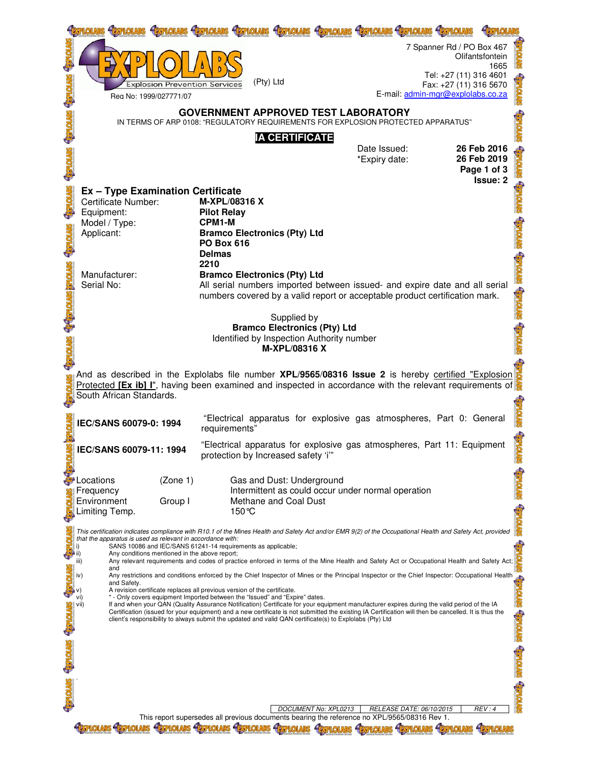| <b>HOIRE</b>                                                                                                                                                                                                                                                        | <b>Explosion Prevention Services</b><br>Reg No: 1999/027771/07<br>IN TERMS OF ARP 0108: "REGULATORY REQUIREMENTS FOR EXPLOSION PROTECTED APPARATUS"                                                                                                                                                                                                                                                                                                                                                                                                                                                                                                                                                                                                                                                                                                                                                                                                                                                                                                                                                                                                                                                                                                                                                                                  | <b>HEXPLOIDES</b><br><b>HEY PLOTARS</b><br>(Pty) Ltd<br><b>GOVERNMENT APPROVED TEST LABORATORY</b>                                                                                                                                                                                                                                     | <b>HETPLOLARS</b><br><b>EXPLOIARS</b><br><b>IA CERTIFICATE</b>                                           | <b>SCPLOLARS SCPLOLARS</b>    | 7 Spanner Rd / PO Box 467<br>Tel: +27 (11) 316 4601<br>Fax: +27 (11) 316 5670<br>E-mail: admin-mgr@explolabs.co.za | Olifantsfontein<br>1665                                      |  |  |  |
|---------------------------------------------------------------------------------------------------------------------------------------------------------------------------------------------------------------------------------------------------------------------|--------------------------------------------------------------------------------------------------------------------------------------------------------------------------------------------------------------------------------------------------------------------------------------------------------------------------------------------------------------------------------------------------------------------------------------------------------------------------------------------------------------------------------------------------------------------------------------------------------------------------------------------------------------------------------------------------------------------------------------------------------------------------------------------------------------------------------------------------------------------------------------------------------------------------------------------------------------------------------------------------------------------------------------------------------------------------------------------------------------------------------------------------------------------------------------------------------------------------------------------------------------------------------------------------------------------------------------|----------------------------------------------------------------------------------------------------------------------------------------------------------------------------------------------------------------------------------------------------------------------------------------------------------------------------------------|----------------------------------------------------------------------------------------------------------|-------------------------------|--------------------------------------------------------------------------------------------------------------------|--------------------------------------------------------------|--|--|--|
|                                                                                                                                                                                                                                                                     |                                                                                                                                                                                                                                                                                                                                                                                                                                                                                                                                                                                                                                                                                                                                                                                                                                                                                                                                                                                                                                                                                                                                                                                                                                                                                                                                      |                                                                                                                                                                                                                                                                                                                                        |                                                                                                          | Date Issued:<br>*Expiry date: |                                                                                                                    | 26 Feb 2016<br>26 Feb 2019<br>Page 1 of 3<br><b>Issue: 2</b> |  |  |  |
| <b>STATOTAS</b>                                                                                                                                                                                                                                                     | <b>Ex - Type Examination Certificate</b><br>Certificate Number:<br>Equipment:<br>Model / Type:<br>Applicant:<br>Manufacturer:<br>Serial No:                                                                                                                                                                                                                                                                                                                                                                                                                                                                                                                                                                                                                                                                                                                                                                                                                                                                                                                                                                                                                                                                                                                                                                                          | M-XPL/08316 X<br><b>Pilot Relay</b><br>CPM1-M<br><b>Bramco Electronics (Pty) Ltd</b><br><b>PO Box 616</b><br><b>Delmas</b><br>2210<br><b>Bramco Electronics (Pty) Ltd</b><br>All serial numbers imported between issued- and expire date and all serial<br>numbers covered by a valid report or acceptable product certification mark. | Supplied by<br><b>Bramco Electronics (Pty) Ltd</b><br>Identified by Inspection Authority number          |                               |                                                                                                                    |                                                              |  |  |  |
| M-XPL/08316 X<br>And as described in the Explolabs file number <b>XPL/9565/08316 Issue 2</b> is hereby certified "Explosion<br>Protected [Ex ib] I", having been examined and inspected in accordance with the relevant requirements of<br>South African Standards. |                                                                                                                                                                                                                                                                                                                                                                                                                                                                                                                                                                                                                                                                                                                                                                                                                                                                                                                                                                                                                                                                                                                                                                                                                                                                                                                                      |                                                                                                                                                                                                                                                                                                                                        |                                                                                                          |                               |                                                                                                                    |                                                              |  |  |  |
|                                                                                                                                                                                                                                                                     | IEC/SANS 60079-0: 1994                                                                                                                                                                                                                                                                                                                                                                                                                                                                                                                                                                                                                                                                                                                                                                                                                                                                                                                                                                                                                                                                                                                                                                                                                                                                                                               | requirements"                                                                                                                                                                                                                                                                                                                          | "Electrical apparatus for explosive gas atmospheres, Part 0: General                                     |                               |                                                                                                                    |                                                              |  |  |  |
|                                                                                                                                                                                                                                                                     | IEC/SANS 60079-11: 1994                                                                                                                                                                                                                                                                                                                                                                                                                                                                                                                                                                                                                                                                                                                                                                                                                                                                                                                                                                                                                                                                                                                                                                                                                                                                                                              | protection by Increased safety 'i"                                                                                                                                                                                                                                                                                                     | "Electrical apparatus for explosive gas atmospheres, Part 11: Equipment                                  |                               |                                                                                                                    |                                                              |  |  |  |
|                                                                                                                                                                                                                                                                     | (Zone 1)<br>Locations<br>Frequency<br>Environment<br>Group I<br>Limiting Temp.                                                                                                                                                                                                                                                                                                                                                                                                                                                                                                                                                                                                                                                                                                                                                                                                                                                                                                                                                                                                                                                                                                                                                                                                                                                       | 150 °C                                                                                                                                                                                                                                                                                                                                 | Gas and Dust: Underground<br>Intermittent as could occur under normal operation<br>Methane and Coal Dust |                               |                                                                                                                    |                                                              |  |  |  |
| <b>Saviolaxe</b>                                                                                                                                                                                                                                                    | This certification indicates compliance with R10.1 of the Mines Health and Safety Act and/or EMR 9(2) of the Occupational Health and Safety Act, provided<br>that the apparatus is used as relevant in accordance with:<br>SANS 10086 and IEC/SANS 61241-14 requirements as applicable;<br>i)<br>Any conditions mentioned in the above report;<br>Any relevant requirements and codes of practice enforced in terms of the Mine Health and Safety Act or Occupational Health and Safety Act;<br>iii)<br>and<br>Any restrictions and conditions enforced by the Chief Inspector of Mines or the Principal Inspector or the Chief Inspector: Occupational Health<br><b>STVTOTAGH</b><br>and Safety.<br>A revision certificate replaces all previous version of the certificate.<br>vi)<br>* - Only covers equipment Imported between the "Issued" and "Expire" dates.<br>If and when your QAN (Quality Assurance Notification) Certificate for your equipment manufacturer expires during the valid period of the IA<br>vii)<br><b>STORES</b><br>Certification (issued for your equipment) and a new certificate is not submitted the existing IA Certification will then be cancelled. It is thus the<br>client's responsibility to always submit the updated and valid QAN certificate(s) to Explolabs (Pty) Ltd<br><b>SCATOTERS</b> |                                                                                                                                                                                                                                                                                                                                        |                                                                                                          |                               |                                                                                                                    |                                                              |  |  |  |
| <b><i><u><b>RATOLARS</b></u></i></b>                                                                                                                                                                                                                                |                                                                                                                                                                                                                                                                                                                                                                                                                                                                                                                                                                                                                                                                                                                                                                                                                                                                                                                                                                                                                                                                                                                                                                                                                                                                                                                                      | This report supersedes all previous documents bearing the reference no XPL/9565/08316 Rev 1.                                                                                                                                                                                                                                           | DOCUMENT No: XPL0213                                                                                     | RELEASE DATE: 06/10/2015      |                                                                                                                    | REV:4                                                        |  |  |  |
|                                                                                                                                                                                                                                                                     |                                                                                                                                                                                                                                                                                                                                                                                                                                                                                                                                                                                                                                                                                                                                                                                                                                                                                                                                                                                                                                                                                                                                                                                                                                                                                                                                      |                                                                                                                                                                                                                                                                                                                                        |                                                                                                          |                               |                                                                                                                    |                                                              |  |  |  |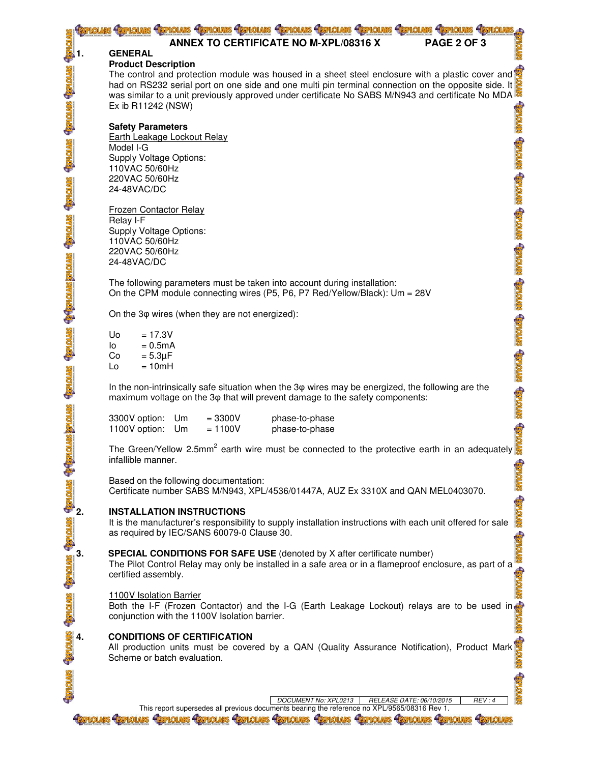|                                 | holars Grinolars Grinolars Grinolars Grinolars Grinolars Grinolars Grinolars Grinolars Grinolars Grinolars                                                                                                                                                                                                   |
|---------------------------------|--------------------------------------------------------------------------------------------------------------------------------------------------------------------------------------------------------------------------------------------------------------------------------------------------------------|
|                                 | PAGE 2 OF 3<br><b>ANNEX TO CERTIFICATE NO M-XPL/08316 X</b><br><b>GENERAL</b>                                                                                                                                                                                                                                |
|                                 | <b>Product Description</b>                                                                                                                                                                                                                                                                                   |
| <b>MONSEL SIMONSEL SIMONSEL</b> | The control and protection module was housed in a sheet steel enclosure with a plastic cover and<br>had on RS232 serial port on one side and one multi pin terminal connection on the opposite side. It<br>was similar to a unit previously approved under certificate No SABS M/N943 and certificate No MDA |
|                                 | Ex ib R11242 (NSW)<br><b>STORB</b><br><b>Safety Parameters</b>                                                                                                                                                                                                                                               |
|                                 | Earth Leakage Lockout Relay<br><b>STYTOTERE</b><br>Model I-G<br>Supply Voltage Options:                                                                                                                                                                                                                      |
|                                 | 110VAC 50/60Hz<br>220VAC 50/60Hz<br>24-48VAC/DC                                                                                                                                                                                                                                                              |
|                                 | <b>STORE STORE STORE</b><br>Frozen Contactor Relay<br>Relay I-F                                                                                                                                                                                                                                              |
| <b>Saylonge</b>                 | Supply Voltage Options:<br>110VAC 50/60Hz                                                                                                                                                                                                                                                                    |
|                                 | 220VAC 50/60Hz<br>24-48VAC/DC                                                                                                                                                                                                                                                                                |
| <b>SENTORE SENTORE-E-</b>       | The following parameters must be taken into account during installation:<br>On the CPM module connecting wires (P5, P6, P7 Red/Yellow/Black): Um = 28V                                                                                                                                                       |
|                                 | <b>STROLEG</b> STORES STORES<br>On the 3 $\varphi$ wires (when they are not energized):<br>$= 17.3V$<br><b>Uo</b>                                                                                                                                                                                            |
|                                 | lo<br>$= 0.5mA$<br>$= 5.3 \mu F$<br>Co                                                                                                                                                                                                                                                                       |
|                                 | Lo<br>$= 10mH$                                                                                                                                                                                                                                                                                               |
|                                 | In the non-intrinsically safe situation when the 3 $\varphi$ wires may be energized, the following are the<br><b>STORES</b><br>maximum voltage on the 3 $\varphi$ that will prevent damage to the safety components:                                                                                         |
|                                 | 3300V option:<br>Um<br>$= 3300V$<br>phase-to-phase<br><b>RESERV</b><br>1100V option:<br>$= 1100V$<br>phase-to-phase<br>Um                                                                                                                                                                                    |
|                                 | The Green/Yellow 2.5mm <sup>2</sup> earth wire must be connected to the protective earth in an adequately<br>infallible manner.                                                                                                                                                                              |
|                                 | <b>STORES</b><br>Based on the following documentation:<br>Certificate number SABS M/N943, XPL/4536/01447A, AUZ Ex 3310X and QAN MEL0403070.                                                                                                                                                                  |
|                                 | <b>SALORE</b><br><b>INSTALLATION INSTRUCTIONS</b><br>It is the manufacturer's responsibility to supply installation instructions with each unit offered for sale<br>as required by IEC/SANS 60079-0 Clause 30.                                                                                               |
| $\frac{1}{\sqrt{3}}$            | <b>SPECIAL CONDITIONS FOR SAFE USE</b> (denoted by X after certificate number)<br>The Pilot Control Relay may only be installed in a safe area or in a flameproof enclosure, as part of a<br>certified assembly.                                                                                             |
|                                 | 1100V Isolation Barrier<br>Both the I-F (Frozen Contactor) and the I-G (Earth Leakage Lockout) relays are to be used in<br>conjunction with the 1100V Isolation barrier.                                                                                                                                     |
| <b>STATOTHES</b>                | <b>CONDITIONS OF CERTIFICATION</b><br>All production units must be covered by a QAN (Quality Assurance Notification), Product Mark Scheme or batch evaluation.                                                                                                                                               |
|                                 | RELEASE DATE: 06/10/2015<br>DOCUMENT No: XPL0213<br>REV:4                                                                                                                                                                                                                                                    |
|                                 | This report supersedes all previous documents bearing the reference no XPL/9565/08316 Rev 1.<br>Hermolars Hermolars Hermolars Hermolars Hermolars Hermolars Hermolars Hermolars<br><b>FITPIOLARS</b><br><b>LOLARS STRIOLARS</b>                                                                              |